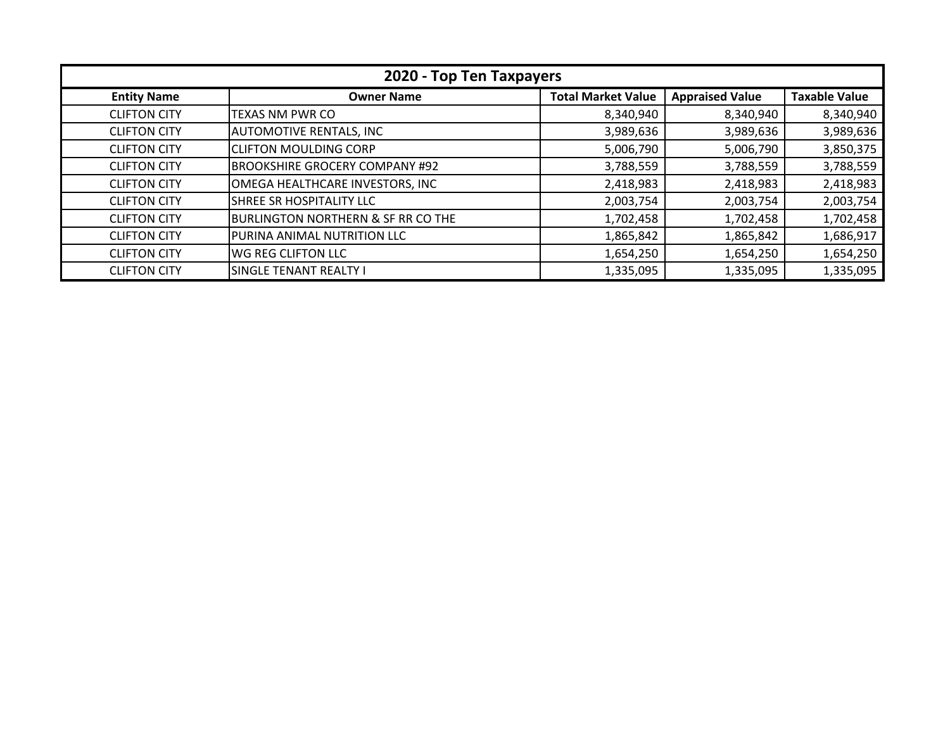| 2020 - Top Ten Taxpayers |                                               |                           |                        |                      |
|--------------------------|-----------------------------------------------|---------------------------|------------------------|----------------------|
| <b>Entity Name</b>       | <b>Owner Name</b>                             | <b>Total Market Value</b> | <b>Appraised Value</b> | <b>Taxable Value</b> |
| <b>CLIFTON CITY</b>      | TEXAS NM PWR CO                               | 8,340,940                 | 8,340,940              | 8,340,940            |
| <b>CLIFTON CITY</b>      | <b>AUTOMOTIVE RENTALS, INC</b>                | 3,989,636                 | 3,989,636              | 3,989,636            |
| <b>CLIFTON CITY</b>      | <b>CLIFTON MOULDING CORP</b>                  | 5,006,790                 | 5,006,790              | 3,850,375            |
| <b>CLIFTON CITY</b>      | <b>BROOKSHIRE GROCERY COMPANY #92</b>         | 3,788,559                 | 3,788,559              | 3,788,559            |
| <b>CLIFTON CITY</b>      | OMEGA HEALTHCARE INVESTORS, INC               | 2,418,983                 | 2,418,983              | 2,418,983            |
| <b>CLIFTON CITY</b>      | <b>SHREE SR HOSPITALITY LLC</b>               | 2,003,754                 | 2,003,754              | 2,003,754            |
| <b>CLIFTON CITY</b>      | <b>BURLINGTON NORTHERN &amp; SF RR CO THE</b> | 1,702,458                 | 1,702,458              | 1,702,458            |
| <b>CLIFTON CITY</b>      | PURINA ANIMAL NUTRITION LLC                   | 1,865,842                 | 1,865,842              | 1,686,917            |
| <b>CLIFTON CITY</b>      | <b>WG REG CLIFTON LLC</b>                     | 1,654,250                 | 1,654,250              | 1,654,250            |
| <b>CLIFTON CITY</b>      | <b>SINGLE TENANT REALTY I</b>                 | 1,335,095                 | 1,335,095              | 1,335,095            |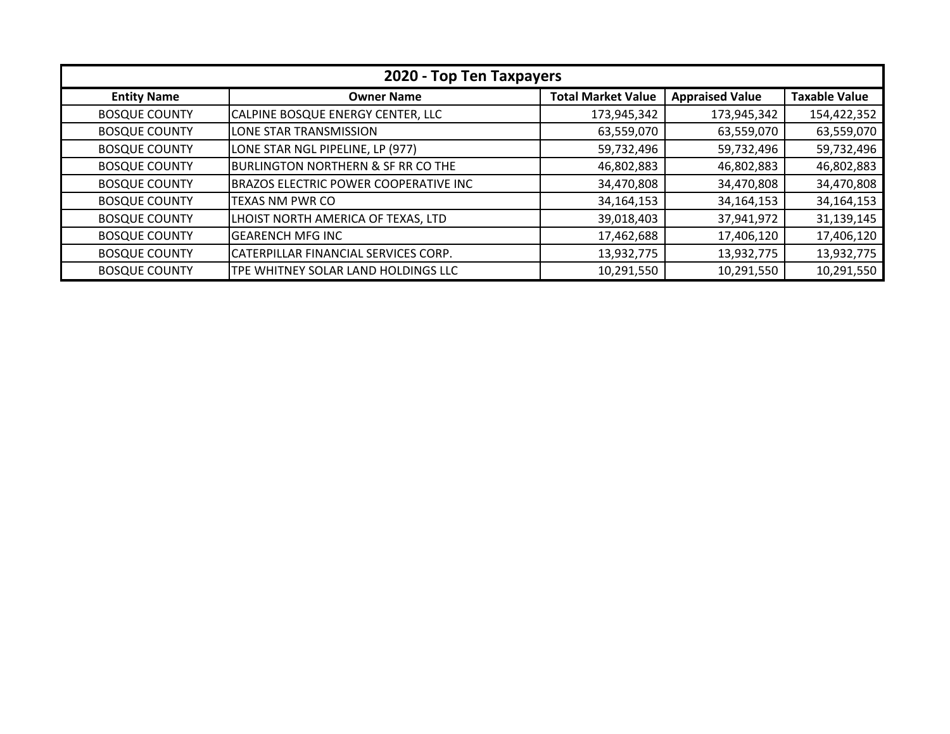| 2020 - Top Ten Taxpayers |                                               |                           |                        |                      |
|--------------------------|-----------------------------------------------|---------------------------|------------------------|----------------------|
| <b>Entity Name</b>       | <b>Owner Name</b>                             | <b>Total Market Value</b> | <b>Appraised Value</b> | <b>Taxable Value</b> |
| <b>BOSQUE COUNTY</b>     | CALPINE BOSQUE ENERGY CENTER, LLC             | 173,945,342               | 173,945,342            | 154,422,352          |
| <b>BOSQUE COUNTY</b>     | LONE STAR TRANSMISSION                        | 63,559,070                | 63,559,070             | 63,559,070           |
| <b>BOSQUE COUNTY</b>     | LONE STAR NGL PIPELINE, LP (977)              | 59,732,496                | 59,732,496             | 59,732,496           |
| <b>BOSQUE COUNTY</b>     | <b>BURLINGTON NORTHERN &amp; SF RR CO THE</b> | 46,802,883                | 46,802,883             | 46,802,883           |
| <b>BOSQUE COUNTY</b>     | BRAZOS ELECTRIC POWER COOPERATIVE INC         | 34,470,808                | 34,470,808             | 34,470,808           |
| <b>BOSQUE COUNTY</b>     | <b>TEXAS NM PWR CO</b>                        | 34,164,153                | 34,164,153             | 34, 164, 153         |
| <b>BOSQUE COUNTY</b>     | LHOIST NORTH AMERICA OF TEXAS, LTD            | 39,018,403                | 37,941,972             | 31,139,145           |
| <b>BOSQUE COUNTY</b>     | <b>GEARENCH MFG INC</b>                       | 17,462,688                | 17,406,120             | 17,406,120           |
| <b>BOSQUE COUNTY</b>     | CATERPILLAR FINANCIAL SERVICES CORP.          | 13,932,775                | 13,932,775             | 13,932,775           |
| <b>BOSQUE COUNTY</b>     | TPE WHITNEY SOLAR LAND HOLDINGS LLC           | 10,291,550                | 10,291,550             | 10,291,550           |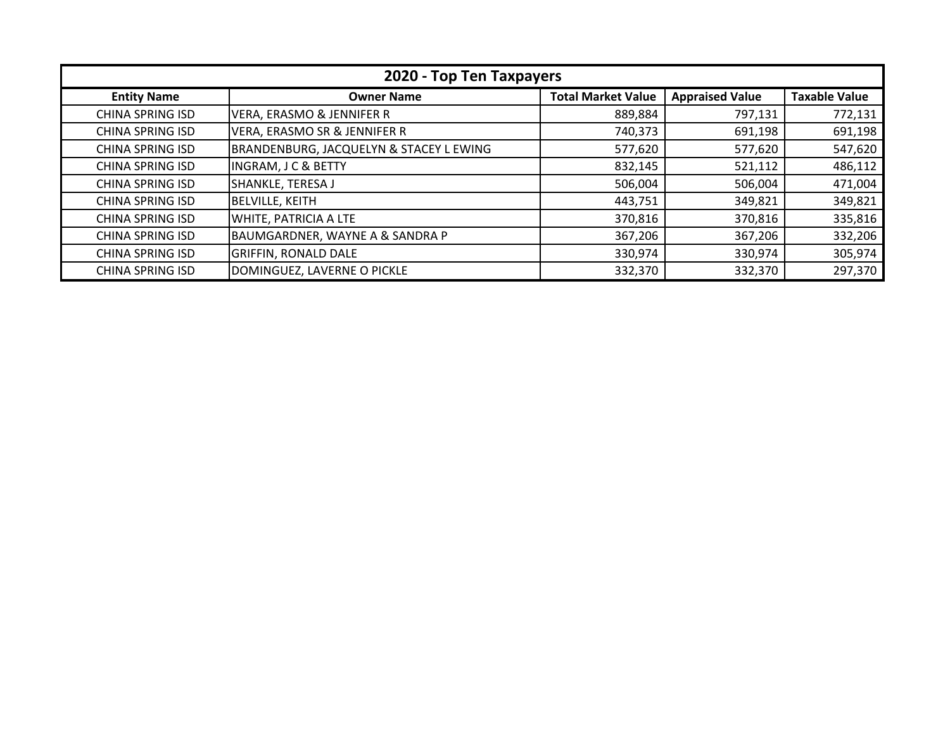| 2020 - Top Ten Taxpayers |                                            |                           |                        |                      |
|--------------------------|--------------------------------------------|---------------------------|------------------------|----------------------|
| <b>Entity Name</b>       | <b>Owner Name</b>                          | <b>Total Market Value</b> | <b>Appraised Value</b> | <b>Taxable Value</b> |
| <b>CHINA SPRING ISD</b>  | <b>VERA, ERASMO &amp; JENNIFER R</b>       | 889,884                   | 797,131                | 772,131              |
| <b>CHINA SPRING ISD</b>  | VERA, ERASMO SR & JENNIFER R               | 740,373                   | 691,198                | 691,198              |
| <b>CHINA SPRING ISD</b>  | BRANDENBURG, JACQUELYN & STACEY L EWING    | 577,620                   | 577,620                | 547,620              |
| <b>CHINA SPRING ISD</b>  | <b>INGRAM, J C &amp; BETTY</b>             | 832,145                   | 521,112                | 486,112              |
| <b>CHINA SPRING ISD</b>  | SHANKLE, TERESA J                          | 506,004                   | 506,004                | 471,004              |
| <b>CHINA SPRING ISD</b>  | <b>BELVILLE, KEITH</b>                     | 443,751                   | 349,821                | 349,821              |
| <b>CHINA SPRING ISD</b>  | WHITE, PATRICIA A LTE                      | 370,816                   | 370,816                | 335,816              |
| <b>CHINA SPRING ISD</b>  | <b>BAUMGARDNER, WAYNE A &amp; SANDRA P</b> | 367,206                   | 367,206                | 332,206              |
| <b>CHINA SPRING ISD</b>  | <b>GRIFFIN, RONALD DALE</b>                | 330,974                   | 330,974                | 305,974              |
| <b>CHINA SPRING ISD</b>  | DOMINGUEZ, LAVERNE O PICKLE                | 332,370                   | 332,370                | 297,370              |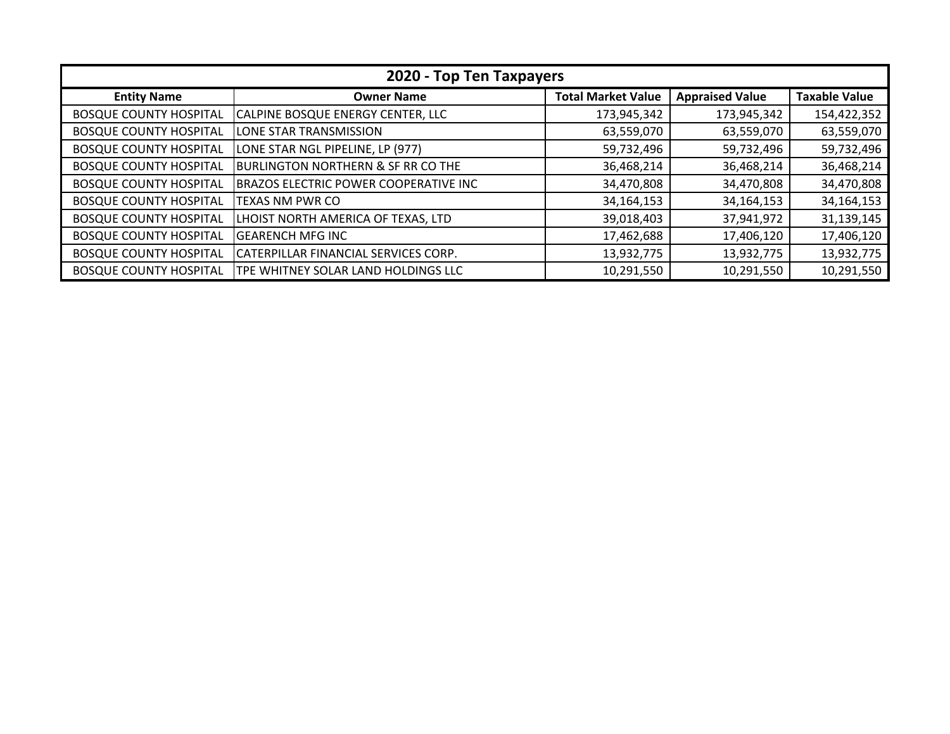| 2020 - Top Ten Taxpayers      |                                               |                           |                        |                      |  |
|-------------------------------|-----------------------------------------------|---------------------------|------------------------|----------------------|--|
| <b>Entity Name</b>            | <b>Owner Name</b>                             | <b>Total Market Value</b> | <b>Appraised Value</b> | <b>Taxable Value</b> |  |
| <b>BOSQUE COUNTY HOSPITAL</b> | CALPINE BOSQUE ENERGY CENTER, LLC             | 173,945,342               | 173,945,342            | 154,422,352          |  |
| <b>BOSQUE COUNTY HOSPITAL</b> | LONE STAR TRANSMISSION                        | 63,559,070                | 63,559,070             | 63,559,070           |  |
| <b>BOSQUE COUNTY HOSPITAL</b> | LONE STAR NGL PIPELINE, LP (977)              | 59,732,496                | 59,732,496             | 59,732,496           |  |
| <b>BOSQUE COUNTY HOSPITAL</b> | <b>BURLINGTON NORTHERN &amp; SF RR CO THE</b> | 36,468,214                | 36,468,214             | 36,468,214           |  |
| <b>BOSQUE COUNTY HOSPITAL</b> | <b>BRAZOS ELECTRIC POWER COOPERATIVE INC</b>  | 34,470,808                | 34,470,808             | 34,470,808           |  |
| <b>BOSQUE COUNTY HOSPITAL</b> | TEXAS NM PWR CO                               | 34, 164, 153              | 34,164,153             | 34, 164, 153         |  |
| <b>BOSQUE COUNTY HOSPITAL</b> | LHOIST NORTH AMERICA OF TEXAS, LTD            | 39,018,403                | 37,941,972             | 31,139,145           |  |
| <b>BOSQUE COUNTY HOSPITAL</b> | <b>GEARENCH MFG INC</b>                       | 17,462,688                | 17,406,120             | 17,406,120           |  |
| <b>BOSQUE COUNTY HOSPITAL</b> | CATERPILLAR FINANCIAL SERVICES CORP.          | 13,932,775                | 13,932,775             | 13,932,775           |  |
| <b>BOSQUE COUNTY HOSPITAL</b> | TPE WHITNEY SOLAR LAND HOLDINGS LLC           | 10,291,550                | 10,291,550             | 10,291,550           |  |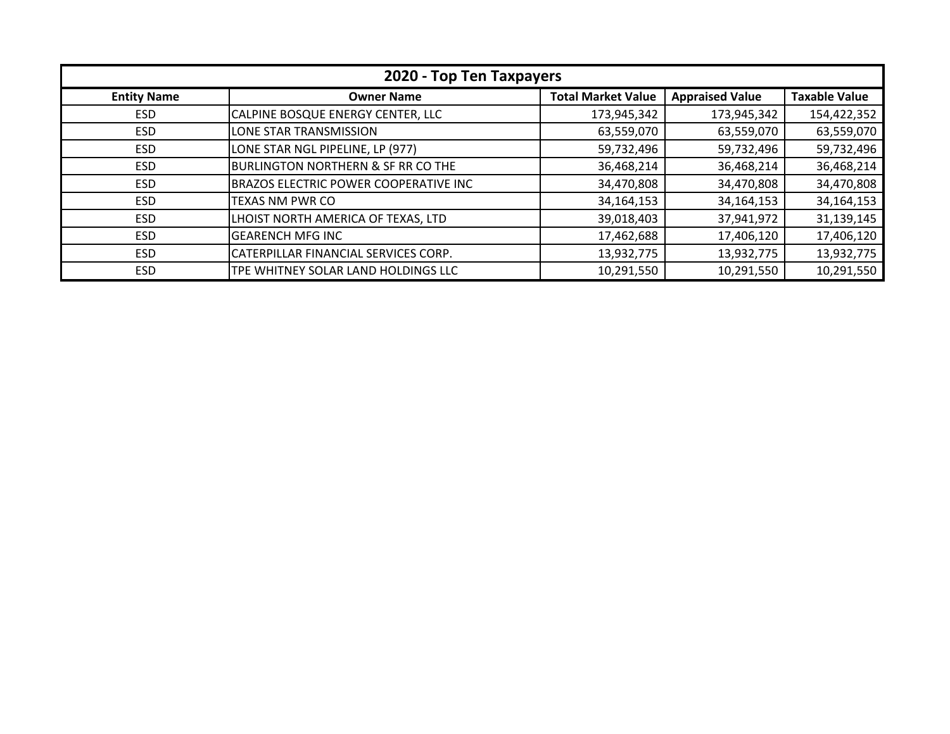| 2020 - Top Ten Taxpayers |                                               |                           |                        |                      |
|--------------------------|-----------------------------------------------|---------------------------|------------------------|----------------------|
| <b>Entity Name</b>       | <b>Owner Name</b>                             | <b>Total Market Value</b> | <b>Appraised Value</b> | <b>Taxable Value</b> |
| <b>ESD</b>               | CALPINE BOSQUE ENERGY CENTER, LLC             | 173,945,342               | 173,945,342            | 154,422,352          |
| <b>ESD</b>               | LONE STAR TRANSMISSION                        | 63,559,070                | 63,559,070             | 63,559,070           |
| <b>ESD</b>               | LONE STAR NGL PIPELINE, LP (977)              | 59,732,496                | 59,732,496             | 59,732,496           |
| <b>ESD</b>               | <b>BURLINGTON NORTHERN &amp; SF RR CO THE</b> | 36,468,214                | 36,468,214             | 36,468,214           |
| <b>ESD</b>               | <b>BRAZOS ELECTRIC POWER COOPERATIVE INC</b>  | 34,470,808                | 34,470,808             | 34,470,808           |
| <b>ESD</b>               | TEXAS NM PWR CO                               | 34,164,153                | 34, 164, 153           | 34, 164, 153         |
| <b>ESD</b>               | LHOIST NORTH AMERICA OF TEXAS, LTD            | 39,018,403                | 37,941,972             | 31,139,145           |
| <b>ESD</b>               | <b>GEARENCH MFG INC</b>                       | 17,462,688                | 17,406,120             | 17,406,120           |
| <b>ESD</b>               | CATERPILLAR FINANCIAL SERVICES CORP.          | 13,932,775                | 13,932,775             | 13,932,775           |
| <b>ESD</b>               | TPE WHITNEY SOLAR LAND HOLDINGS LLC           | 10,291,550                | 10,291,550             | 10,291,550           |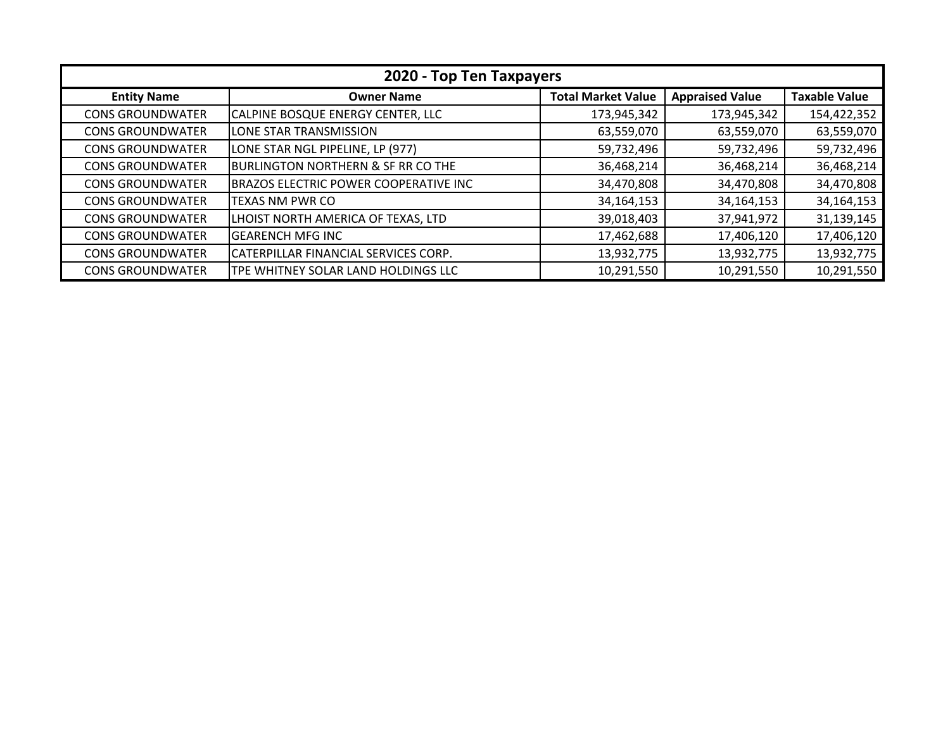| 2020 - Top Ten Taxpayers |                                               |                           |                        |                      |
|--------------------------|-----------------------------------------------|---------------------------|------------------------|----------------------|
| <b>Entity Name</b>       | <b>Owner Name</b>                             | <b>Total Market Value</b> | <b>Appraised Value</b> | <b>Taxable Value</b> |
| <b>CONS GROUNDWATER</b>  | CALPINE BOSQUE ENERGY CENTER, LLC             | 173,945,342               | 173,945,342            | 154,422,352          |
| <b>CONS GROUNDWATER</b>  | LONE STAR TRANSMISSION                        | 63,559,070                | 63,559,070             | 63,559,070           |
| <b>CONS GROUNDWATER</b>  | LONE STAR NGL PIPELINE, LP (977)              | 59,732,496                | 59,732,496             | 59,732,496           |
| <b>CONS GROUNDWATER</b>  | <b>BURLINGTON NORTHERN &amp; SF RR CO THE</b> | 36,468,214                | 36,468,214             | 36,468,214           |
| <b>CONS GROUNDWATER</b>  | BRAZOS ELECTRIC POWER COOPERATIVE INC         | 34,470,808                | 34,470,808             | 34,470,808           |
| <b>CONS GROUNDWATER</b>  | TEXAS NM PWR CO                               | 34,164,153                | 34,164,153             | 34, 164, 153         |
| <b>CONS GROUNDWATER</b>  | LHOIST NORTH AMERICA OF TEXAS, LTD            | 39,018,403                | 37,941,972             | 31,139,145           |
| <b>CONS GROUNDWATER</b>  | <b>GEARENCH MFG INC</b>                       | 17,462,688                | 17,406,120             | 17,406,120           |
| <b>CONS GROUNDWATER</b>  | CATERPILLAR FINANCIAL SERVICES CORP.          | 13,932,775                | 13,932,775             | 13,932,775           |
| <b>CONS GROUNDWATER</b>  | <b>TPE WHITNEY SOLAR LAND HOLDINGS LLC</b>    | 10,291,550                | 10,291,550             | 10,291,550           |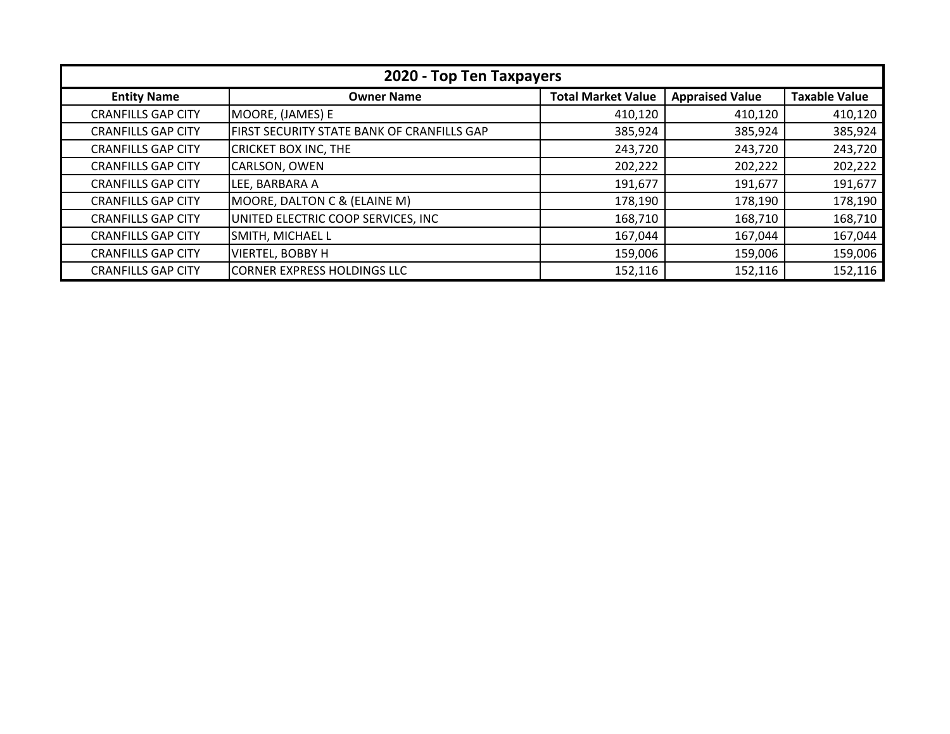| 2020 - Top Ten Taxpayers  |                                            |                           |                        |                      |
|---------------------------|--------------------------------------------|---------------------------|------------------------|----------------------|
| <b>Entity Name</b>        | <b>Owner Name</b>                          | <b>Total Market Value</b> | <b>Appraised Value</b> | <b>Taxable Value</b> |
| <b>CRANFILLS GAP CITY</b> | MOORE, (JAMES) E                           | 410,120                   | 410,120                | 410,120              |
| <b>CRANFILLS GAP CITY</b> | FIRST SECURITY STATE BANK OF CRANFILLS GAP | 385,924                   | 385,924                | 385,924              |
| <b>CRANFILLS GAP CITY</b> | <b>CRICKET BOX INC, THE</b>                | 243,720                   | 243,720                | 243,720              |
| <b>CRANFILLS GAP CITY</b> | CARLSON, OWEN                              | 202,222                   | 202,222                | 202,222              |
| <b>CRANFILLS GAP CITY</b> | LEE, BARBARA A                             | 191,677                   | 191,677                | 191,677              |
| <b>CRANFILLS GAP CITY</b> | MOORE, DALTON C & (ELAINE M)               | 178,190                   | 178,190                | 178,190              |
| <b>CRANFILLS GAP CITY</b> | UNITED ELECTRIC COOP SERVICES, INC         | 168,710                   | 168,710                | 168,710              |
| <b>CRANFILLS GAP CITY</b> | SMITH, MICHAEL L                           | 167,044                   | 167,044                | 167,044              |
| <b>CRANFILLS GAP CITY</b> | <b>VIERTEL, BOBBY H</b>                    | 159,006                   | 159,006                | 159,006              |
| <b>CRANFILLS GAP CITY</b> | CORNER EXPRESS HOLDINGS LLC                | 152,116                   | 152,116                | 152,116              |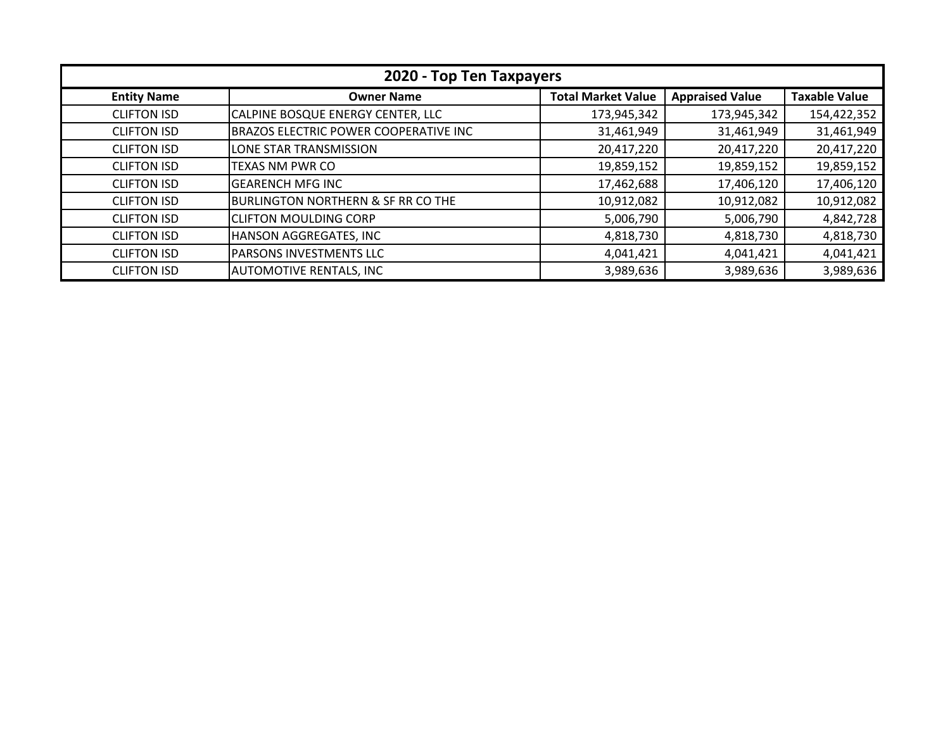| 2020 - Top Ten Taxpayers |                                               |                           |                        |                      |
|--------------------------|-----------------------------------------------|---------------------------|------------------------|----------------------|
| <b>Entity Name</b>       | <b>Owner Name</b>                             | <b>Total Market Value</b> | <b>Appraised Value</b> | <b>Taxable Value</b> |
| <b>CLIFTON ISD</b>       | CALPINE BOSQUE ENERGY CENTER, LLC             | 173,945,342               | 173,945,342            | 154,422,352          |
| <b>CLIFTON ISD</b>       | BRAZOS ELECTRIC POWER COOPERATIVE INC         | 31,461,949                | 31,461,949             | 31,461,949           |
| <b>CLIFTON ISD</b>       | LONE STAR TRANSMISSION                        | 20,417,220                | 20,417,220             | 20,417,220           |
| <b>CLIFTON ISD</b>       | <b>TEXAS NM PWR CO</b>                        | 19,859,152                | 19,859,152             | 19,859,152           |
| <b>CLIFTON ISD</b>       | <b>GEARENCH MFG INC</b>                       | 17,462,688                | 17,406,120             | 17,406,120           |
| <b>CLIFTON ISD</b>       | <b>BURLINGTON NORTHERN &amp; SF RR CO THE</b> | 10,912,082                | 10,912,082             | 10,912,082           |
| <b>CLIFTON ISD</b>       | <b>CLIFTON MOULDING CORP</b>                  | 5,006,790                 | 5,006,790              | 4,842,728            |
| <b>CLIFTON ISD</b>       | HANSON AGGREGATES, INC                        | 4,818,730                 | 4,818,730              | 4,818,730            |
| <b>CLIFTON ISD</b>       | <b>PARSONS INVESTMENTS LLC</b>                | 4,041,421                 | 4,041,421              | 4,041,421            |
| <b>CLIFTON ISD</b>       | <b>AUTOMOTIVE RENTALS, INC</b>                | 3,989,636                 | 3,989,636              | 3,989,636            |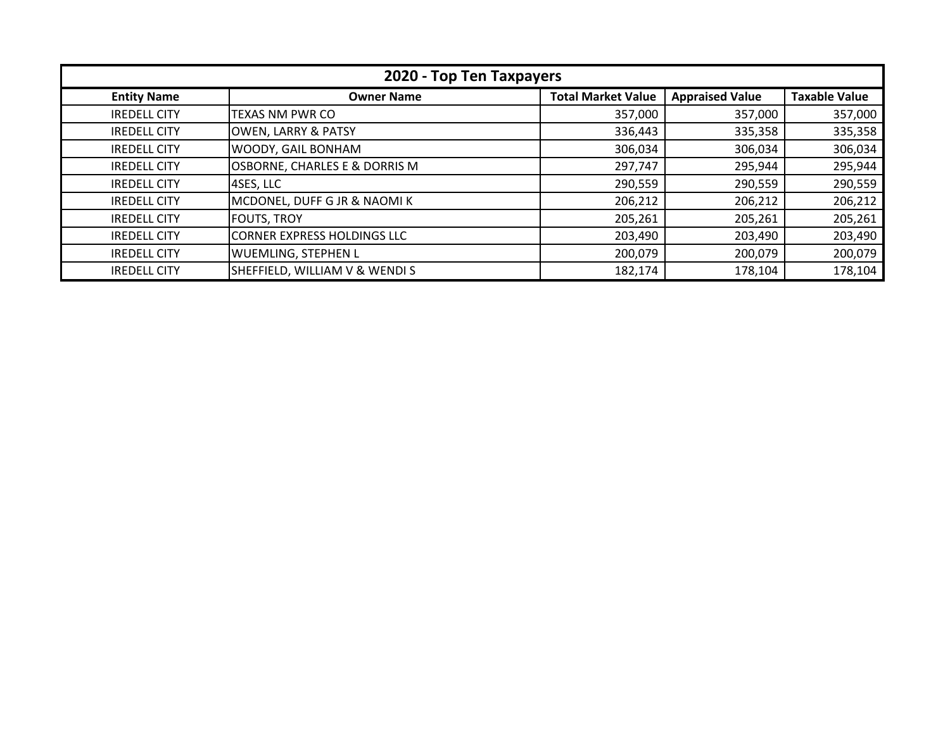| 2020 - Top Ten Taxpayers |                                    |                           |                        |                      |
|--------------------------|------------------------------------|---------------------------|------------------------|----------------------|
| <b>Entity Name</b>       | <b>Owner Name</b>                  | <b>Total Market Value</b> | <b>Appraised Value</b> | <b>Taxable Value</b> |
| <b>IREDELL CITY</b>      | TEXAS NM PWR CO                    | 357,000                   | 357,000                | 357,000              |
| <b>IREDELL CITY</b>      | <b>OWEN, LARRY &amp; PATSY</b>     | 336,443                   | 335,358                | 335,358              |
| <b>IREDELL CITY</b>      | WOODY, GAIL BONHAM                 | 306,034                   | 306,034                | 306,034              |
| <b>IREDELL CITY</b>      | OSBORNE, CHARLES E & DORRIS M      | 297,747                   | 295,944                | 295,944              |
| <b>IREDELL CITY</b>      | 4SES, LLC                          | 290,559                   | 290,559                | 290,559              |
| <b>IREDELL CITY</b>      | MCDONEL, DUFF G JR & NAOMIK        | 206,212                   | 206,212                | 206,212              |
| <b>IREDELL CITY</b>      | <b>FOUTS, TROY</b>                 | 205,261                   | 205,261                | 205,261              |
| <b>IREDELL CITY</b>      | <b>CORNER EXPRESS HOLDINGS LLC</b> | 203,490                   | 203,490                | 203,490              |
| <b>IREDELL CITY</b>      | <b>WUEMLING, STEPHEN L</b>         | 200,079                   | 200,079                | 200,079              |
| <b>IREDELL CITY</b>      | SHEFFIELD, WILLIAM V & WENDI S     | 182,174                   | 178,104                | 178,104              |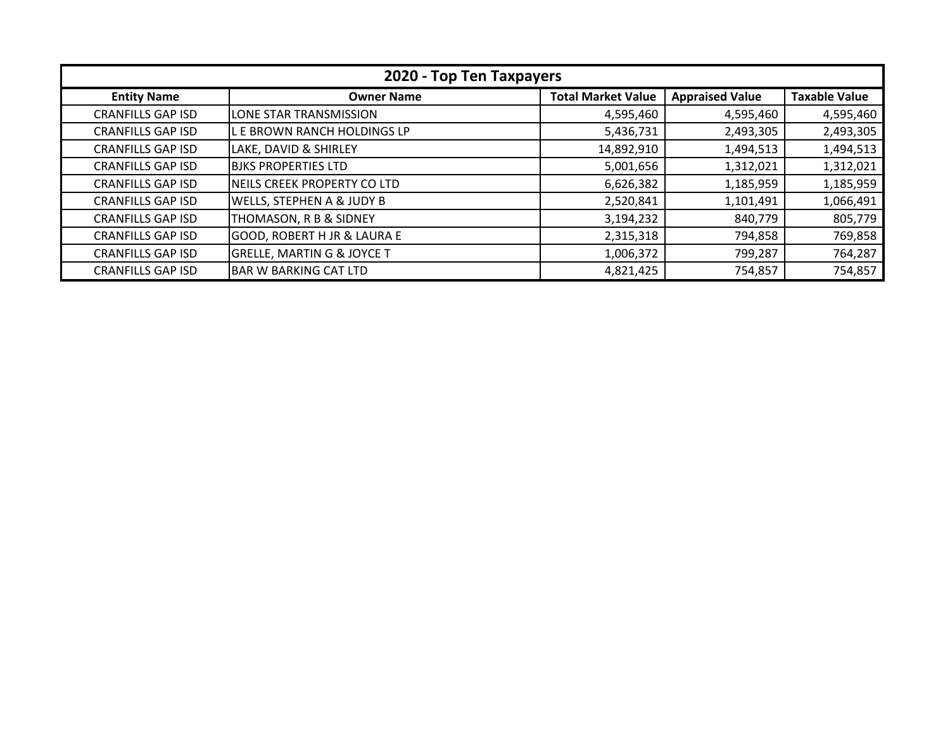| 2020 - Top Ten Taxpayers |                                        |                           |                        |                      |
|--------------------------|----------------------------------------|---------------------------|------------------------|----------------------|
| <b>Entity Name</b>       | <b>Owner Name</b>                      | <b>Total Market Value</b> | <b>Appraised Value</b> | <b>Taxable Value</b> |
| <b>CRANFILLS GAP ISD</b> | LONE STAR TRANSMISSION                 | 4,595,460                 | 4,595,460              | 4,595,460            |
| <b>CRANFILLS GAP ISD</b> | L E BROWN RANCH HOLDINGS LP            | 5,436,731                 | 2,493,305              | 2,493,305            |
| <b>CRANFILLS GAP ISD</b> | LAKE, DAVID & SHIRLEY                  | 14,892,910                | 1,494,513              | 1,494,513            |
| <b>CRANFILLS GAP ISD</b> | <b>BJKS PROPERTIES LTD</b>             | 5,001,656                 | 1,312,021              | 1,312,021            |
| <b>CRANFILLS GAP ISD</b> | INEILS CREEK PROPERTY CO LTD           | 6,626,382                 | 1,185,959              | 1,185,959            |
| <b>CRANFILLS GAP ISD</b> | WELLS, STEPHEN A & JUDY B              | 2,520,841                 | 1,101,491              | 1,066,491            |
| <b>CRANFILLS GAP ISD</b> | THOMASON, R B & SIDNEY                 | 3,194,232                 | 840,779                | 805,779              |
| <b>CRANFILLS GAP ISD</b> | <b>GOOD, ROBERT H JR &amp; LAURA E</b> | 2,315,318                 | 794,858                | 769,858              |
| <b>CRANFILLS GAP ISD</b> | <b>GRELLE, MARTIN G &amp; JOYCE T</b>  | 1,006,372                 | 799,287                | 764,287              |
| <b>CRANFILLS GAP ISD</b> | BAR W BARKING CAT LTD                  | 4,821,425                 | 754,857                | 754,857              |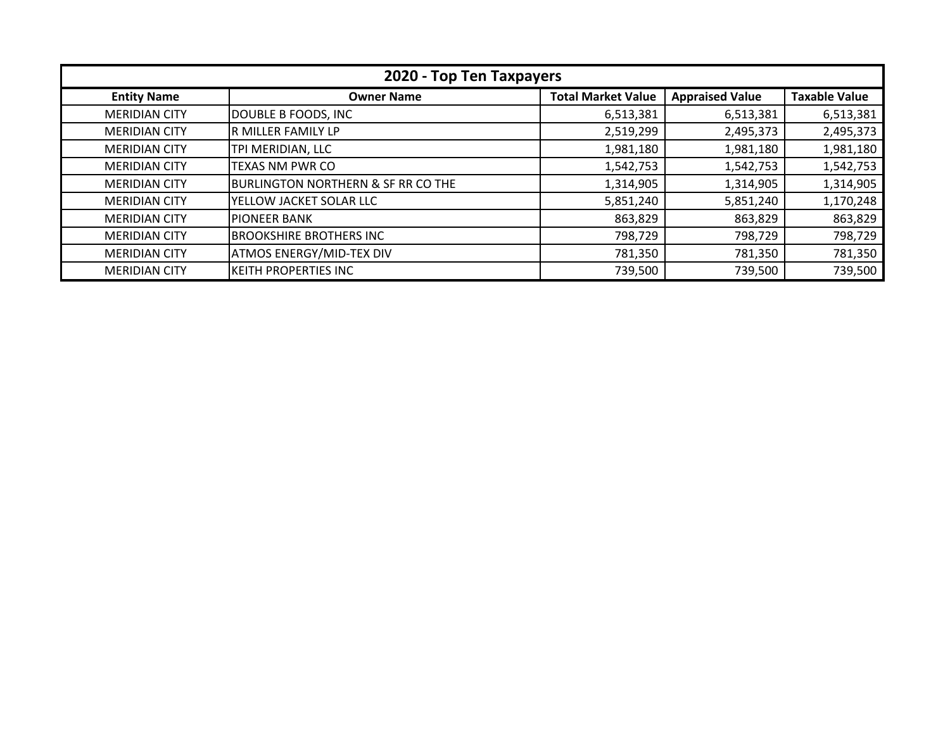| 2020 - Top Ten Taxpayers |                                               |                           |                        |                      |
|--------------------------|-----------------------------------------------|---------------------------|------------------------|----------------------|
| <b>Entity Name</b>       | <b>Owner Name</b>                             | <b>Total Market Value</b> | <b>Appraised Value</b> | <b>Taxable Value</b> |
| <b>MERIDIAN CITY</b>     | DOUBLE B FOODS, INC                           | 6,513,381                 | 6,513,381              | 6,513,381            |
| <b>MERIDIAN CITY</b>     | R MILLER FAMILY LP                            | 2,519,299                 | 2,495,373              | 2,495,373            |
| <b>MERIDIAN CITY</b>     | TPI MERIDIAN, LLC                             | 1,981,180                 | 1,981,180              | 1,981,180            |
| <b>MERIDIAN CITY</b>     | <b>TEXAS NM PWR CO</b>                        | 1,542,753                 | 1,542,753              | 1,542,753            |
| <b>MERIDIAN CITY</b>     | <b>BURLINGTON NORTHERN &amp; SF RR CO THE</b> | 1,314,905                 | 1,314,905              | 1,314,905            |
| <b>MERIDIAN CITY</b>     | YELLOW JACKET SOLAR LLC                       | 5,851,240                 | 5,851,240              | 1,170,248            |
| <b>MERIDIAN CITY</b>     | <b>PIONEER BANK</b>                           | 863,829                   | 863,829                | 863,829              |
| <b>MERIDIAN CITY</b>     | <b>BROOKSHIRE BROTHERS INC</b>                | 798,729                   | 798,729                | 798,729              |
| <b>MERIDIAN CITY</b>     | <b>ATMOS ENERGY/MID-TEX DIV</b>               | 781,350                   | 781,350                | 781,350              |
| <b>MERIDIAN CITY</b>     | <b>KEITH PROPERTIES INC</b>                   | 739,500                   | 739,500                | 739,500              |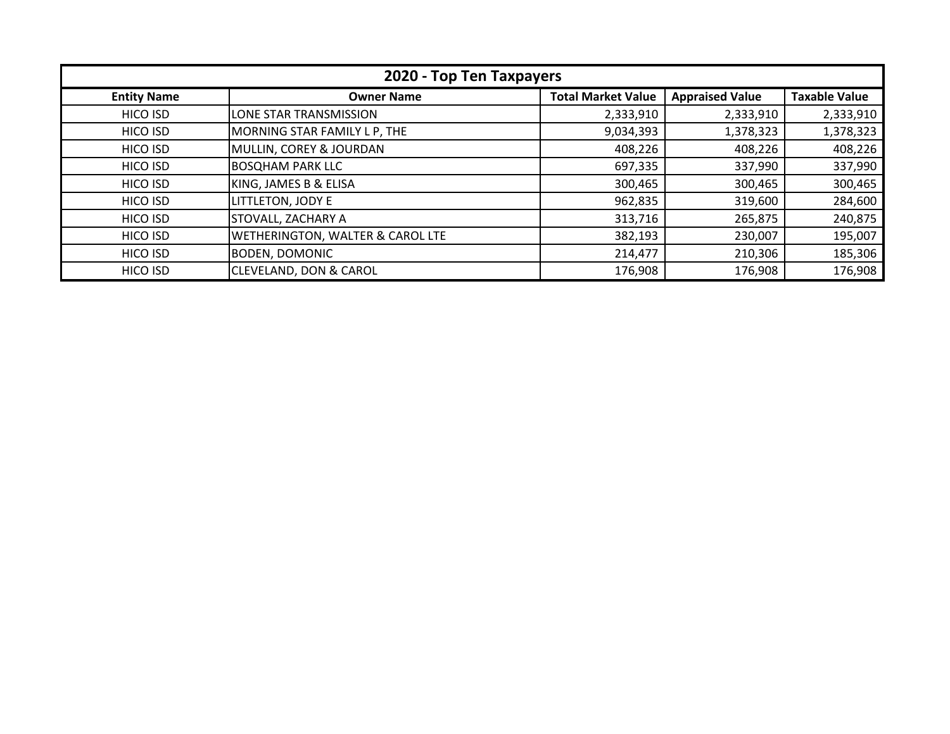| 2020 - Top Ten Taxpayers |                                   |                           |                        |                      |
|--------------------------|-----------------------------------|---------------------------|------------------------|----------------------|
| <b>Entity Name</b>       | <b>Owner Name</b>                 | <b>Total Market Value</b> | <b>Appraised Value</b> | <b>Taxable Value</b> |
| HICO ISD                 | LONE STAR TRANSMISSION            | 2,333,910                 | 2,333,910              | 2,333,910            |
| HICO ISD                 | MORNING STAR FAMILY L P, THE      | 9,034,393                 | 1,378,323              | 1,378,323            |
| HICO ISD                 | MULLIN, COREY & JOURDAN           | 408,226                   | 408,226                | 408,226              |
| HICO ISD                 | <b>BOSQHAM PARK LLC</b>           | 697,335                   | 337,990                | 337,990              |
| HICO ISD                 | KING, JAMES B & ELISA             | 300,465                   | 300,465                | 300,465              |
| HICO ISD                 | LITTLETON, JODY E                 | 962,835                   | 319,600                | 284,600              |
| HICO ISD                 | <b>STOVALL, ZACHARY A</b>         | 313,716                   | 265,875                | 240,875              |
| HICO ISD                 | WETHERINGTON, WALTER & CAROL LTE  | 382,193                   | 230,007                | 195,007              |
| HICO ISD                 | <b>BODEN, DOMONIC</b>             | 214,477                   | 210,306                | 185,306              |
| HICO ISD                 | <b>CLEVELAND, DON &amp; CAROL</b> | 176,908                   | 176,908                | 176,908              |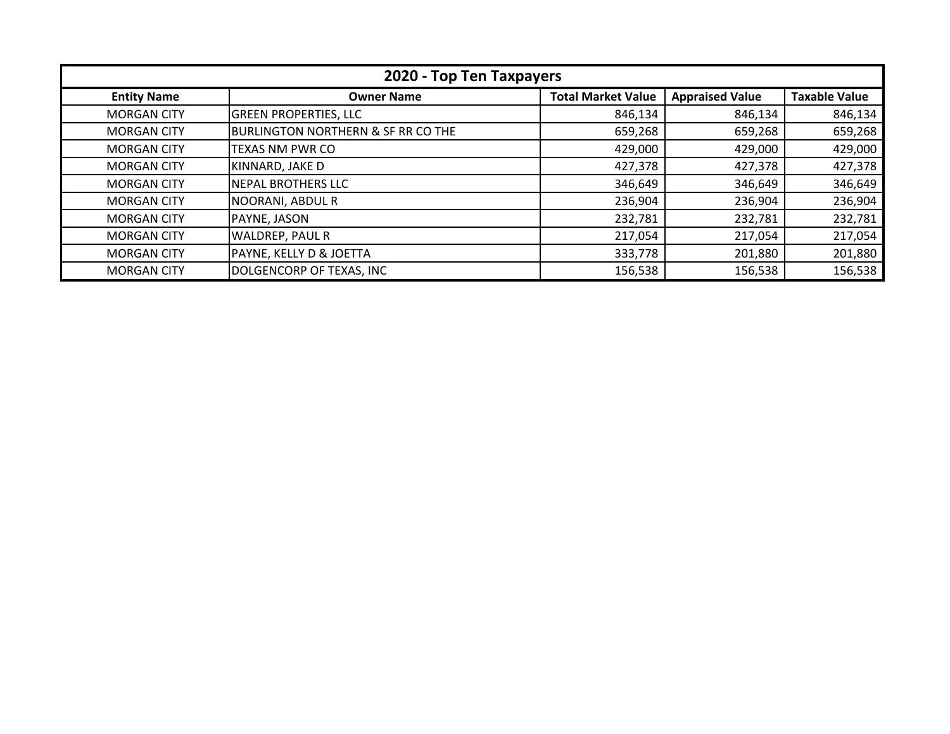| 2020 - Top Ten Taxpayers |                                               |                           |                        |                      |
|--------------------------|-----------------------------------------------|---------------------------|------------------------|----------------------|
| <b>Entity Name</b>       | <b>Owner Name</b>                             | <b>Total Market Value</b> | <b>Appraised Value</b> | <b>Taxable Value</b> |
| <b>MORGAN CITY</b>       | <b>GREEN PROPERTIES, LLC</b>                  | 846,134                   | 846,134                | 846,134              |
| <b>MORGAN CITY</b>       | <b>BURLINGTON NORTHERN &amp; SF RR CO THE</b> | 659,268                   | 659,268                | 659,268              |
| <b>MORGAN CITY</b>       | TEXAS NM PWR CO                               | 429,000                   | 429,000                | 429,000              |
| <b>MORGAN CITY</b>       | KINNARD, JAKE D                               | 427,378                   | 427,378                | 427,378              |
| <b>MORGAN CITY</b>       | <b>NEPAL BROTHERS LLC</b>                     | 346,649                   | 346,649                | 346,649              |
| <b>MORGAN CITY</b>       | NOORANI, ABDUL R                              | 236,904                   | 236,904                | 236,904              |
| <b>MORGAN CITY</b>       | PAYNE, JASON                                  | 232,781                   | 232,781                | 232,781              |
| <b>MORGAN CITY</b>       | <b>WALDREP, PAUL R</b>                        | 217,054                   | 217,054                | 217,054              |
| <b>MORGAN CITY</b>       | PAYNE, KELLY D & JOETTA                       | 333,778                   | 201,880                | 201,880              |
| <b>MORGAN CITY</b>       | DOLGENCORP OF TEXAS, INC                      | 156,538                   | 156,538                | 156,538              |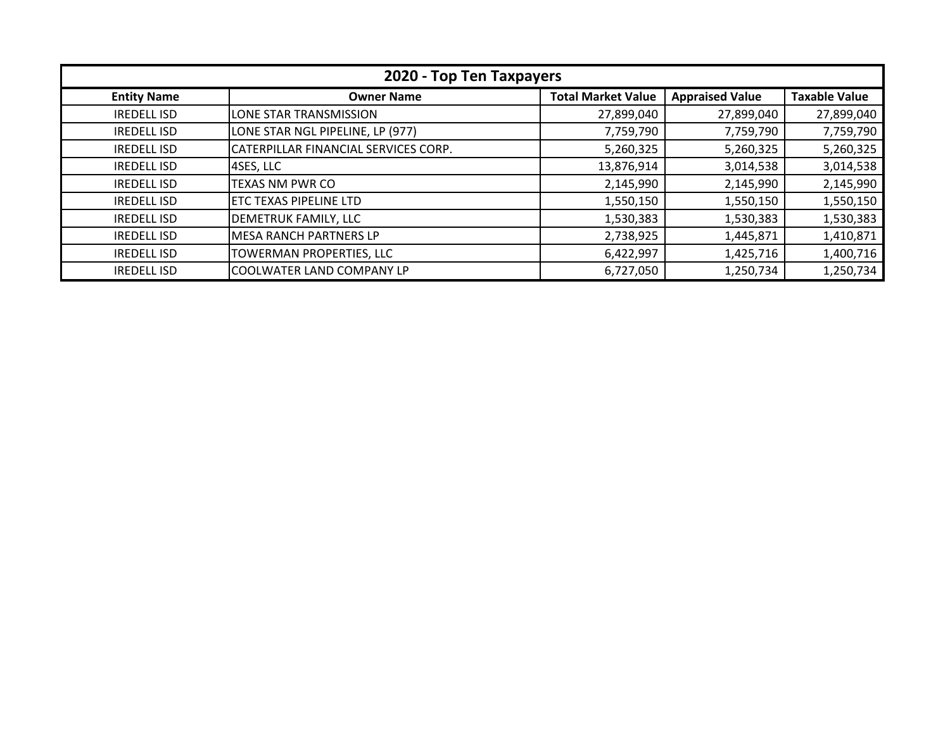| 2020 - Top Ten Taxpayers |                                      |                           |                        |                      |
|--------------------------|--------------------------------------|---------------------------|------------------------|----------------------|
| <b>Entity Name</b>       | <b>Owner Name</b>                    | <b>Total Market Value</b> | <b>Appraised Value</b> | <b>Taxable Value</b> |
| <b>IREDELL ISD</b>       | LONE STAR TRANSMISSION               | 27,899,040                | 27,899,040             | 27,899,040           |
| <b>IREDELL ISD</b>       | LONE STAR NGL PIPELINE, LP (977)     | 7,759,790                 | 7,759,790              | 7,759,790            |
| <b>IREDELL ISD</b>       | CATERPILLAR FINANCIAL SERVICES CORP. | 5,260,325                 | 5,260,325              | 5,260,325            |
| <b>IREDELL ISD</b>       | 4SES, LLC                            | 13,876,914                | 3,014,538              | 3,014,538            |
| <b>IREDELL ISD</b>       | TEXAS NM PWR CO                      | 2,145,990                 | 2,145,990              | 2,145,990            |
| <b>IREDELL ISD</b>       | ETC TEXAS PIPELINE LTD               | 1,550,150                 | 1,550,150              | 1,550,150            |
| <b>IREDELL ISD</b>       | <b>DEMETRUK FAMILY, LLC</b>          | 1,530,383                 | 1,530,383              | 1,530,383            |
| <b>IREDELL ISD</b>       | IMESA RANCH PARTNERS LP              | 2,738,925                 | 1,445,871              | 1,410,871            |
| <b>IREDELL ISD</b>       | TOWERMAN PROPERTIES, LLC             | 6,422,997                 | 1,425,716              | 1,400,716            |
| <b>IREDELL ISD</b>       | COOLWATER LAND COMPANY LP            | 6,727,050                 | 1,250,734              | 1,250,734            |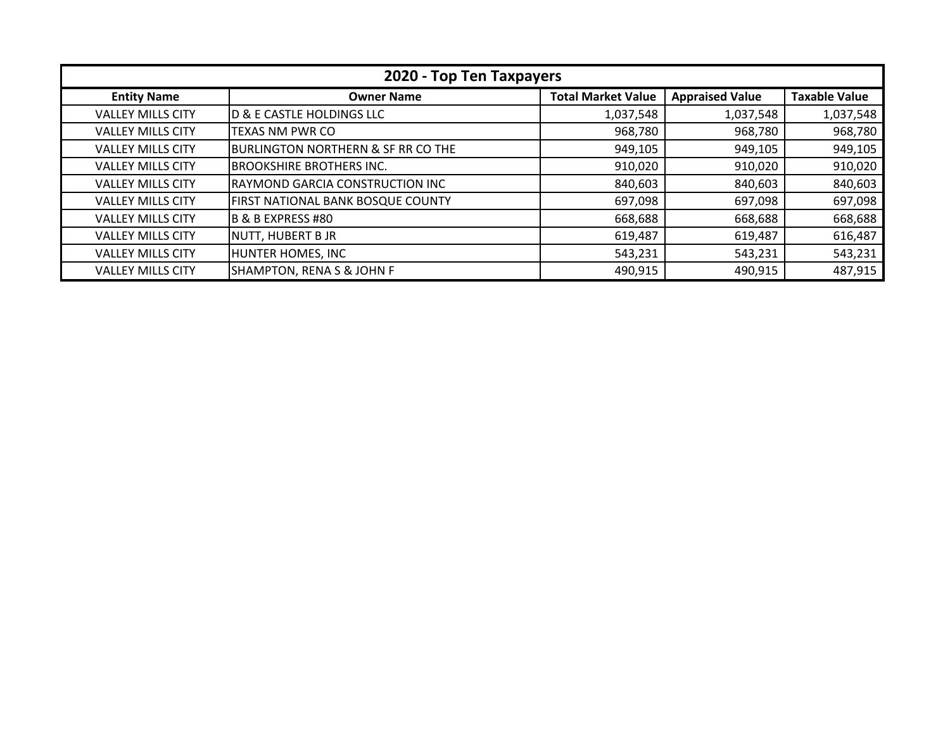| 2020 - Top Ten Taxpayers |                                               |                           |                        |                      |
|--------------------------|-----------------------------------------------|---------------------------|------------------------|----------------------|
| <b>Entity Name</b>       | <b>Owner Name</b>                             | <b>Total Market Value</b> | <b>Appraised Value</b> | <b>Taxable Value</b> |
| <b>VALLEY MILLS CITY</b> | <b>D &amp; E CASTLE HOLDINGS LLC</b>          | 1,037,548                 | 1,037,548              | 1,037,548            |
| <b>VALLEY MILLS CITY</b> | TEXAS NM PWR CO                               | 968,780                   | 968,780                | 968,780              |
| <b>VALLEY MILLS CITY</b> | <b>BURLINGTON NORTHERN &amp; SF RR CO THE</b> | 949,105                   | 949,105                | 949,105              |
| <b>VALLEY MILLS CITY</b> | <b>BROOKSHIRE BROTHERS INC.</b>               | 910,020                   | 910,020                | 910,020              |
| <b>VALLEY MILLS CITY</b> | RAYMOND GARCIA CONSTRUCTION INC               | 840,603                   | 840,603                | 840,603              |
| <b>VALLEY MILLS CITY</b> | FIRST NATIONAL BANK BOSQUE COUNTY             | 697,098                   | 697,098                | 697,098              |
| <b>VALLEY MILLS CITY</b> | B & B EXPRESS #80                             | 668,688                   | 668,688                | 668,688              |
| <b>VALLEY MILLS CITY</b> | NUTT, HUBERT B JR                             | 619,487                   | 619,487                | 616,487              |
| <b>VALLEY MILLS CITY</b> | HUNTER HOMES, INC                             | 543,231                   | 543,231                | 543,231              |
| <b>VALLEY MILLS CITY</b> | <b>SHAMPTON, RENA S &amp; JOHN F</b>          | 490,915                   | 490,915                | 487,915              |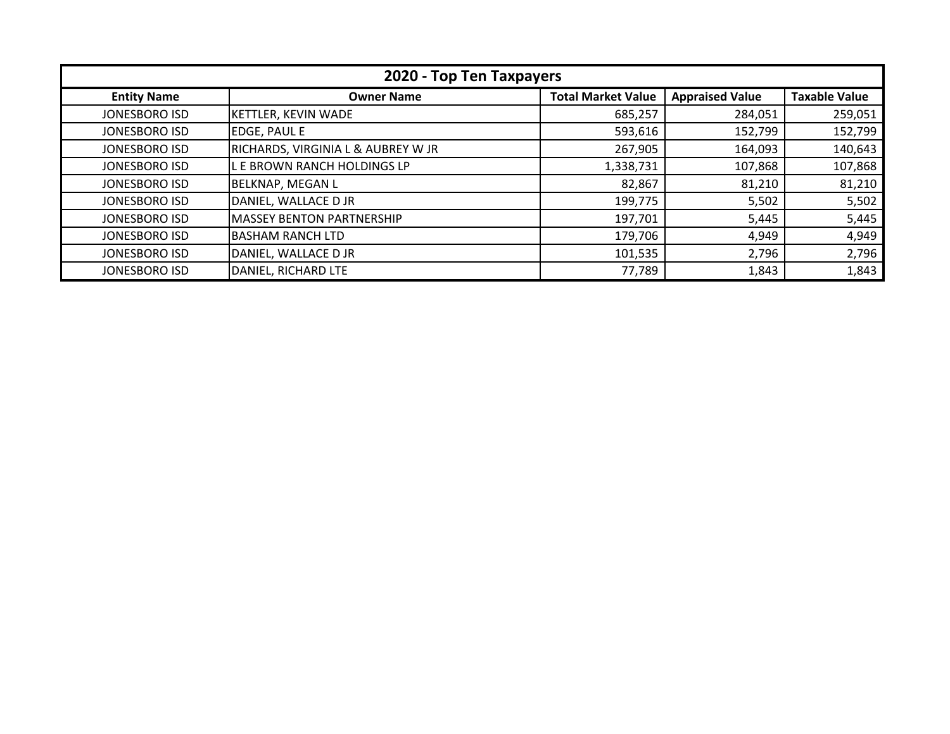| 2020 - Top Ten Taxpayers |                                               |                           |                        |                      |
|--------------------------|-----------------------------------------------|---------------------------|------------------------|----------------------|
| <b>Entity Name</b>       | <b>Owner Name</b>                             | <b>Total Market Value</b> | <b>Appraised Value</b> | <b>Taxable Value</b> |
| JONESBORO ISD            | <b>KETTLER, KEVIN WADE</b>                    | 685,257                   | 284,051                | 259,051              |
| JONESBORO ISD            | <b>EDGE, PAUL E</b>                           | 593,616                   | 152,799                | 152,799              |
| JONESBORO ISD            | <b>RICHARDS, VIRGINIA L &amp; AUBREY W JR</b> | 267,905                   | 164,093                | 140,643              |
| <b>JONESBORO ISD</b>     | L E BROWN RANCH HOLDINGS LP                   | 1,338,731                 | 107,868                | 107,868              |
| JONESBORO ISD            | <b>BELKNAP, MEGAN L</b>                       | 82,867                    | 81,210                 | 81,210               |
| JONESBORO ISD            | DANIEL, WALLACE D JR                          | 199,775                   | 5,502                  | 5,502                |
| JONESBORO ISD            | <b>MASSEY BENTON PARTNERSHIP</b>              | 197,701                   | 5,445                  | 5,445                |
| JONESBORO ISD            | <b>BASHAM RANCH LTD</b>                       | 179,706                   | 4,949                  | 4,949                |
| <b>JONESBORO ISD</b>     | DANIEL, WALLACE D JR                          | 101,535                   | 2,796                  | 2,796                |
| <b>JONESBORO ISD</b>     | DANIEL, RICHARD LTE                           | 77,789                    | 1,843                  | 1,843                |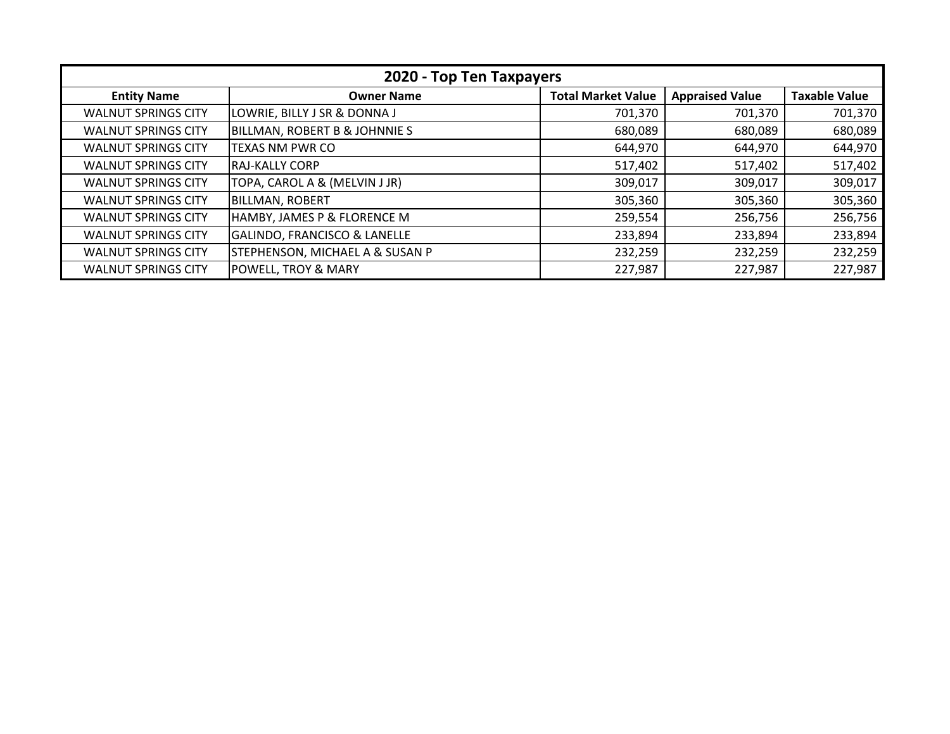| 2020 - Top Ten Taxpayers   |                                            |                           |                        |                      |
|----------------------------|--------------------------------------------|---------------------------|------------------------|----------------------|
| <b>Entity Name</b>         | <b>Owner Name</b>                          | <b>Total Market Value</b> | <b>Appraised Value</b> | <b>Taxable Value</b> |
| <b>WALNUT SPRINGS CITY</b> | LOWRIE, BILLY J SR & DONNA J               | 701,370                   | 701,370                | 701,370              |
| <b>WALNUT SPRINGS CITY</b> | <b>BILLMAN, ROBERT B &amp; JOHNNIE S</b>   | 680,089                   | 680,089                | 680,089              |
| <b>WALNUT SPRINGS CITY</b> | TEXAS NM PWR CO                            | 644,970                   | 644,970                | 644,970              |
| <b>WALNUT SPRINGS CITY</b> | IRAJ-KALLY CORP                            | 517,402                   | 517,402                | 517,402              |
| <b>WALNUT SPRINGS CITY</b> | TOPA, CAROL A & (MELVIN J JR)              | 309,017                   | 309,017                | 309,017              |
| <b>WALNUT SPRINGS CITY</b> | <b>BILLMAN, ROBERT</b>                     | 305,360                   | 305,360                | 305,360              |
| <b>WALNUT SPRINGS CITY</b> | HAMBY, JAMES P & FLORENCE M                | 259,554                   | 256,756                | 256,756              |
| <b>WALNUT SPRINGS CITY</b> | <b>GALINDO, FRANCISCO &amp; LANELLE</b>    | 233,894                   | 233,894                | 233,894              |
| <b>WALNUT SPRINGS CITY</b> | <b>STEPHENSON, MICHAEL A &amp; SUSAN P</b> | 232,259                   | 232,259                | 232,259              |
| <b>WALNUT SPRINGS CITY</b> | <b>POWELL, TROY &amp; MARY</b>             | 227,987                   | 227,987                | 227,987              |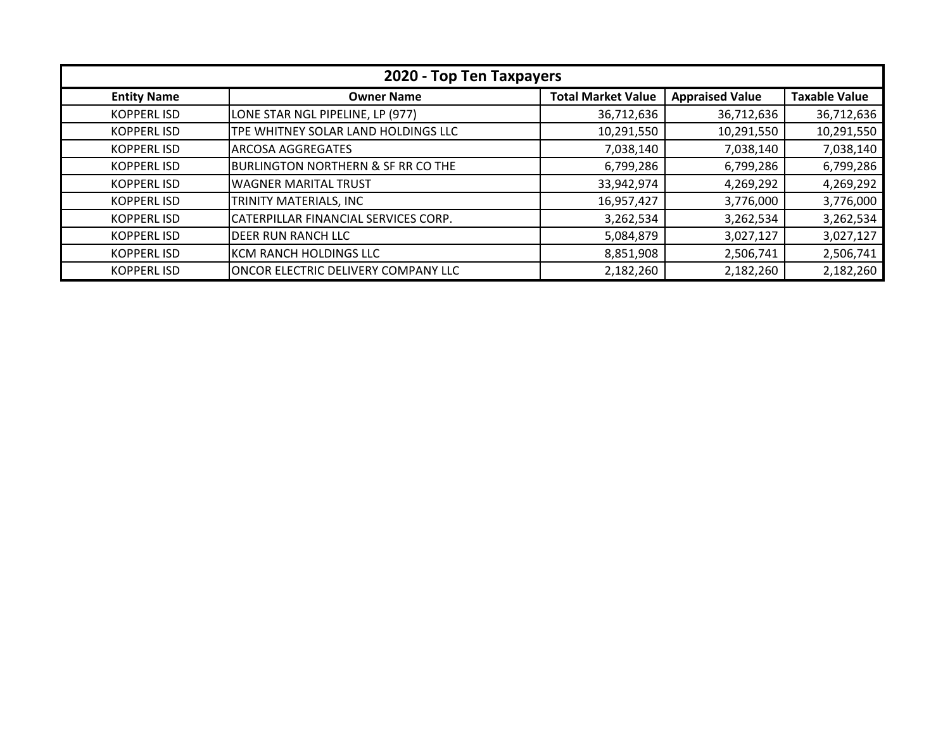| 2020 - Top Ten Taxpayers |                                               |                           |                        |                      |  |
|--------------------------|-----------------------------------------------|---------------------------|------------------------|----------------------|--|
| <b>Entity Name</b>       | <b>Owner Name</b>                             | <b>Total Market Value</b> | <b>Appraised Value</b> | <b>Taxable Value</b> |  |
| <b>KOPPERLISD</b>        | LONE STAR NGL PIPELINE, LP (977)              | 36,712,636                | 36,712,636             | 36,712,636           |  |
| <b>KOPPERLISD</b>        | TPE WHITNEY SOLAR LAND HOLDINGS LLC           | 10,291,550                | 10,291,550             | 10,291,550           |  |
| <b>KOPPERLISD</b>        | <b>ARCOSA AGGREGATES</b>                      | 7,038,140                 | 7,038,140              | 7,038,140            |  |
| <b>KOPPERLISD</b>        | <b>BURLINGTON NORTHERN &amp; SF RR CO THE</b> | 6,799,286                 | 6,799,286              | 6,799,286            |  |
| <b>KOPPERLISD</b>        | <b>WAGNER MARITAL TRUST</b>                   | 33,942,974                | 4,269,292              | 4,269,292            |  |
| <b>KOPPERLISD</b>        | TRINITY MATERIALS, INC                        | 16,957,427                | 3,776,000              | 3,776,000            |  |
| <b>KOPPERLISD</b>        | CATERPILLAR FINANCIAL SERVICES CORP.          | 3,262,534                 | 3,262,534              | 3,262,534            |  |
| <b>KOPPERLISD</b>        | <b>DEER RUN RANCH LLC</b>                     | 5,084,879                 | 3,027,127              | 3,027,127            |  |
| <b>KOPPERLISD</b>        | KCM RANCH HOLDINGS LLC                        | 8,851,908                 | 2,506,741              | 2,506,741            |  |
| <b>KOPPERLISD</b>        | <b>ONCOR ELECTRIC DELIVERY COMPANY LLC</b>    | 2,182,260                 | 2,182,260              | 2,182,260            |  |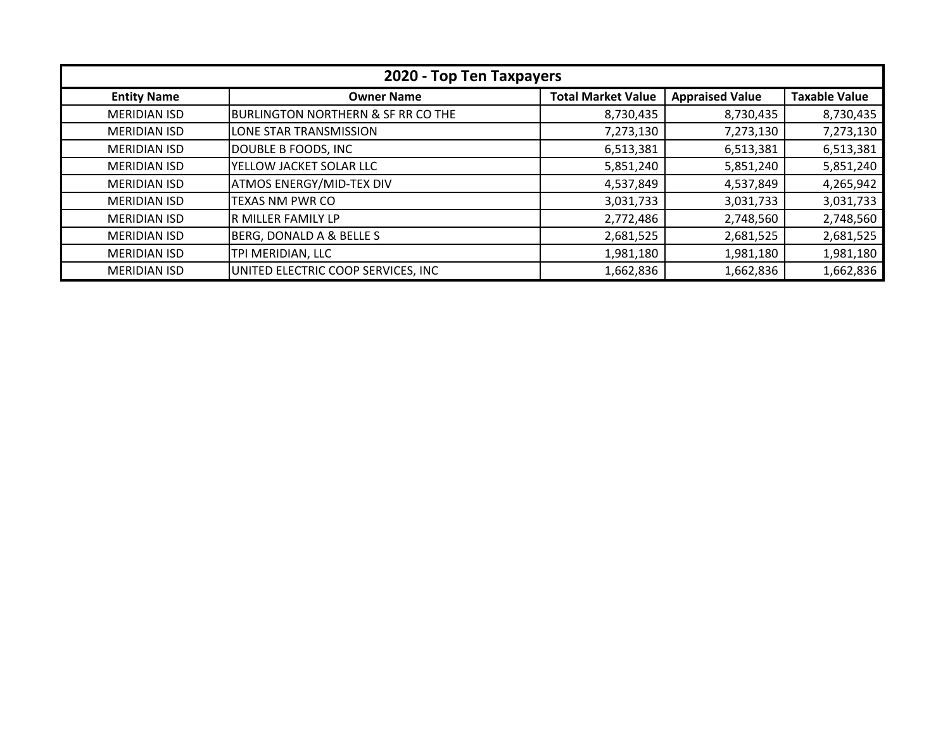| 2020 - Top Ten Taxpayers |                                               |                           |                        |                      |
|--------------------------|-----------------------------------------------|---------------------------|------------------------|----------------------|
| <b>Entity Name</b>       | <b>Owner Name</b>                             | <b>Total Market Value</b> | <b>Appraised Value</b> | <b>Taxable Value</b> |
| <b>MERIDIAN ISD</b>      | <b>BURLINGTON NORTHERN &amp; SF RR CO THE</b> | 8,730,435                 | 8,730,435              | 8,730,435            |
| <b>MERIDIAN ISD</b>      | LONE STAR TRANSMISSION                        | 7,273,130                 | 7,273,130              | 7,273,130            |
| <b>MERIDIAN ISD</b>      | DOUBLE B FOODS, INC                           | 6,513,381                 | 6,513,381              | 6,513,381            |
| <b>MERIDIAN ISD</b>      | YELLOW JACKET SOLAR LLC                       | 5,851,240                 | 5,851,240              | 5,851,240            |
| <b>MERIDIAN ISD</b>      | <b>ATMOS ENERGY/MID-TEX DIV</b>               | 4,537,849                 | 4,537,849              | 4,265,942            |
| <b>MERIDIAN ISD</b>      | TEXAS NM PWR CO                               | 3,031,733                 | 3,031,733              | 3,031,733            |
| <b>MERIDIAN ISD</b>      | R MILLER FAMILY LP                            | 2,772,486                 | 2,748,560              | 2,748,560            |
| <b>MERIDIAN ISD</b>      | BERG, DONALD A & BELLE S                      | 2,681,525                 | 2,681,525              | 2,681,525            |
| <b>MERIDIAN ISD</b>      | TPI MERIDIAN, LLC                             | 1,981,180                 | 1,981,180              | 1,981,180            |
| <b>MERIDIAN ISD</b>      | UNITED ELECTRIC COOP SERVICES, INC            | 1,662,836                 | 1,662,836              | 1,662,836            |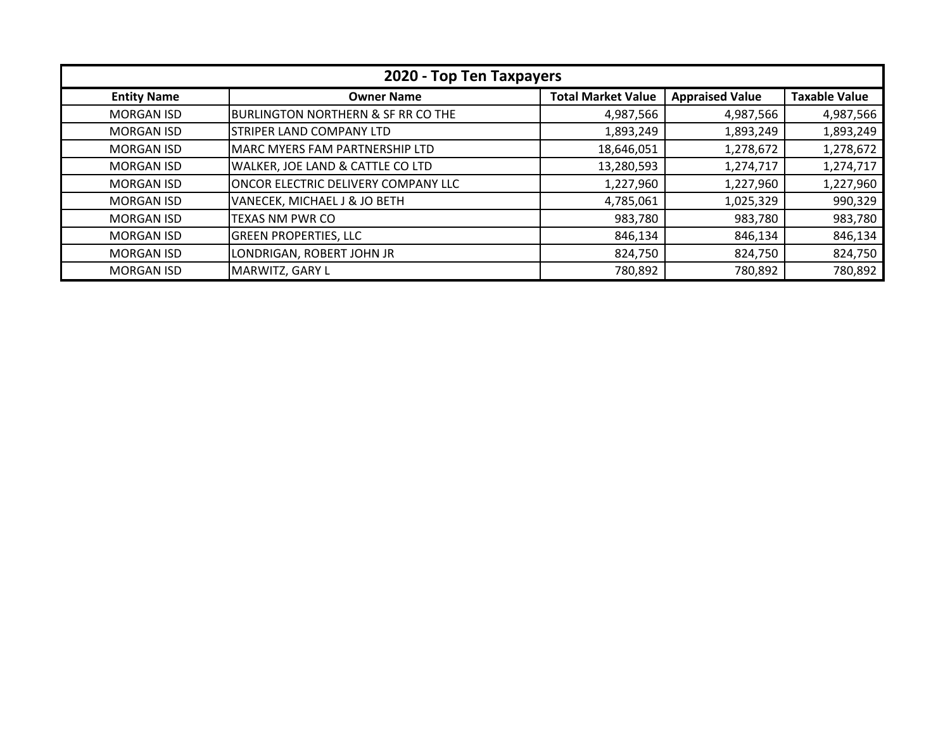| 2020 - Top Ten Taxpayers |                                               |                           |                        |                      |
|--------------------------|-----------------------------------------------|---------------------------|------------------------|----------------------|
| <b>Entity Name</b>       | <b>Owner Name</b>                             | <b>Total Market Value</b> | <b>Appraised Value</b> | <b>Taxable Value</b> |
| <b>MORGAN ISD</b>        | <b>BURLINGTON NORTHERN &amp; SF RR CO THE</b> | 4,987,566                 | 4,987,566              | 4,987,566            |
| <b>MORGAN ISD</b>        | <b>STRIPER LAND COMPANY LTD</b>               | 1,893,249                 | 1,893,249              | 1,893,249            |
| <b>MORGAN ISD</b>        | MARC MYERS FAM PARTNERSHIP LTD                | 18,646,051                | 1,278,672              | 1,278,672            |
| <b>MORGAN ISD</b>        | WALKER, JOE LAND & CATTLE CO LTD              | 13,280,593                | 1,274,717              | 1,274,717            |
| <b>MORGAN ISD</b>        | ONCOR ELECTRIC DELIVERY COMPANY LLC           | 1,227,960                 | 1,227,960              | 1,227,960            |
| <b>MORGAN ISD</b>        | VANECEK, MICHAEL J & JO BETH                  | 4,785,061                 | 1,025,329              | 990,329              |
| <b>MORGAN ISD</b>        | TEXAS NM PWR CO                               | 983,780                   | 983,780                | 983,780              |
| <b>MORGAN ISD</b>        | <b>GREEN PROPERTIES, LLC</b>                  | 846,134                   | 846,134                | 846,134              |
| <b>MORGAN ISD</b>        | LONDRIGAN, ROBERT JOHN JR                     | 824,750                   | 824,750                | 824,750              |
| <b>MORGAN ISD</b>        | MARWITZ, GARY L                               | 780,892                   | 780,892                | 780,892              |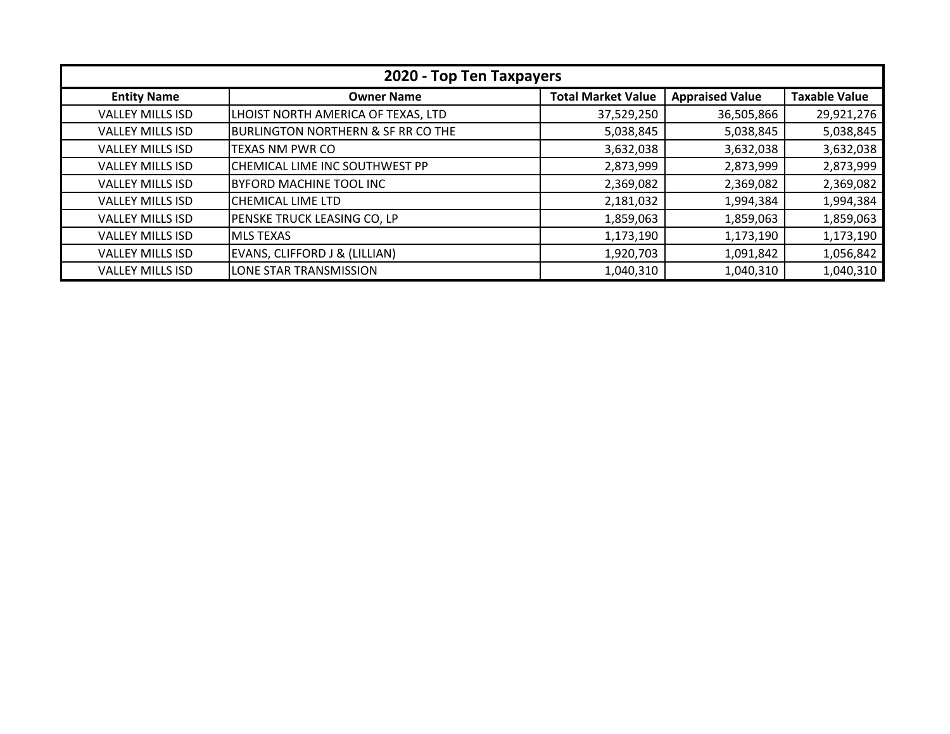| 2020 - Top Ten Taxpayers |                                               |                           |                        |                      |
|--------------------------|-----------------------------------------------|---------------------------|------------------------|----------------------|
| <b>Entity Name</b>       | <b>Owner Name</b>                             | <b>Total Market Value</b> | <b>Appraised Value</b> | <b>Taxable Value</b> |
| <b>VALLEY MILLS ISD</b>  | LHOIST NORTH AMERICA OF TEXAS, LTD            | 37,529,250                | 36,505,866             | 29,921,276           |
| <b>VALLEY MILLS ISD</b>  | <b>BURLINGTON NORTHERN &amp; SF RR CO THE</b> | 5,038,845                 | 5,038,845              | 5,038,845            |
| <b>VALLEY MILLS ISD</b>  | <b>TEXAS NM PWR CO</b>                        | 3,632,038                 | 3,632,038              | 3,632,038            |
| <b>VALLEY MILLS ISD</b>  | CHEMICAL LIME INC SOUTHWEST PP                | 2,873,999                 | 2,873,999              | 2,873,999            |
| <b>VALLEY MILLS ISD</b>  | BYFORD MACHINE TOOL INC                       | 2,369,082                 | 2,369,082              | 2,369,082            |
| <b>VALLEY MILLS ISD</b>  | CHEMICAL LIME LTD                             | 2,181,032                 | 1,994,384              | 1,994,384            |
| <b>VALLEY MILLS ISD</b>  | PENSKE TRUCK LEASING CO, LP                   | 1,859,063                 | 1,859,063              | 1,859,063            |
| <b>VALLEY MILLS ISD</b>  | <b>MLS TEXAS</b>                              | 1,173,190                 | 1,173,190              | 1,173,190            |
| <b>VALLEY MILLS ISD</b>  | EVANS, CLIFFORD J & (LILLIAN)                 | 1,920,703                 | 1,091,842              | 1,056,842            |
| <b>VALLEY MILLS ISD</b>  | LONE STAR TRANSMISSION                        | 1,040,310                 | 1,040,310              | 1,040,310            |